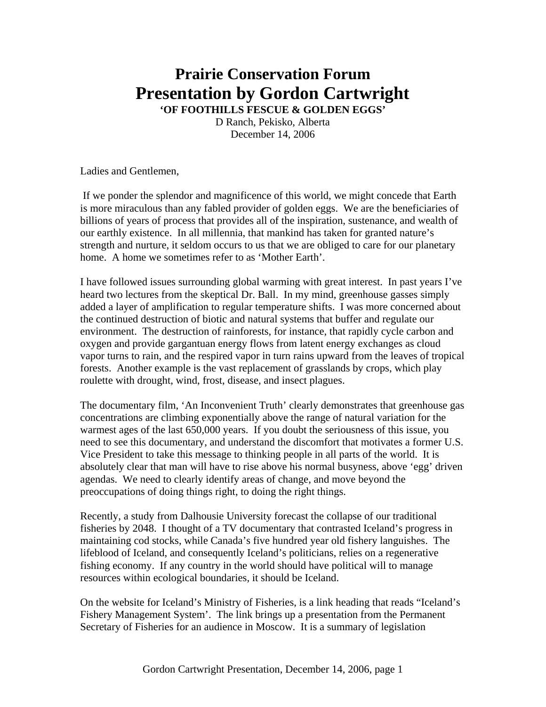## **Prairie Conservation Forum Presentation by Gordon Cartwright**

**'OF FOOTHILLS FESCUE & GOLDEN EGGS'**  D Ranch, Pekisko, Alberta December 14, 2006

Ladies and Gentlemen,

 If we ponder the splendor and magnificence of this world, we might concede that Earth is more miraculous than any fabled provider of golden eggs. We are the beneficiaries of billions of years of process that provides all of the inspiration, sustenance, and wealth of our earthly existence. In all millennia, that mankind has taken for granted nature's strength and nurture, it seldom occurs to us that we are obliged to care for our planetary home. A home we sometimes refer to as 'Mother Earth'.

I have followed issues surrounding global warming with great interest. In past years I've heard two lectures from the skeptical Dr. Ball. In my mind, greenhouse gasses simply added a layer of amplification to regular temperature shifts. I was more concerned about the continued destruction of biotic and natural systems that buffer and regulate our environment. The destruction of rainforests, for instance, that rapidly cycle carbon and oxygen and provide gargantuan energy flows from latent energy exchanges as cloud vapor turns to rain, and the respired vapor in turn rains upward from the leaves of tropical forests. Another example is the vast replacement of grasslands by crops, which play roulette with drought, wind, frost, disease, and insect plagues.

The documentary film, 'An Inconvenient Truth' clearly demonstrates that greenhouse gas concentrations are climbing exponentially above the range of natural variation for the warmest ages of the last 650,000 years. If you doubt the seriousness of this issue, you need to see this documentary, and understand the discomfort that motivates a former U.S. Vice President to take this message to thinking people in all parts of the world. It is absolutely clear that man will have to rise above his normal busyness, above 'egg' driven agendas. We need to clearly identify areas of change, and move beyond the preoccupations of doing things right, to doing the right things.

Recently, a study from Dalhousie University forecast the collapse of our traditional fisheries by 2048. I thought of a TV documentary that contrasted Iceland's progress in maintaining cod stocks, while Canada's five hundred year old fishery languishes. The lifeblood of Iceland, and consequently Iceland's politicians, relies on a regenerative fishing economy. If any country in the world should have political will to manage resources within ecological boundaries, it should be Iceland.

On the website for Iceland's Ministry of Fisheries, is a link heading that reads "Iceland's Fishery Management System'. The link brings up a presentation from the Permanent Secretary of Fisheries for an audience in Moscow. It is a summary of legislation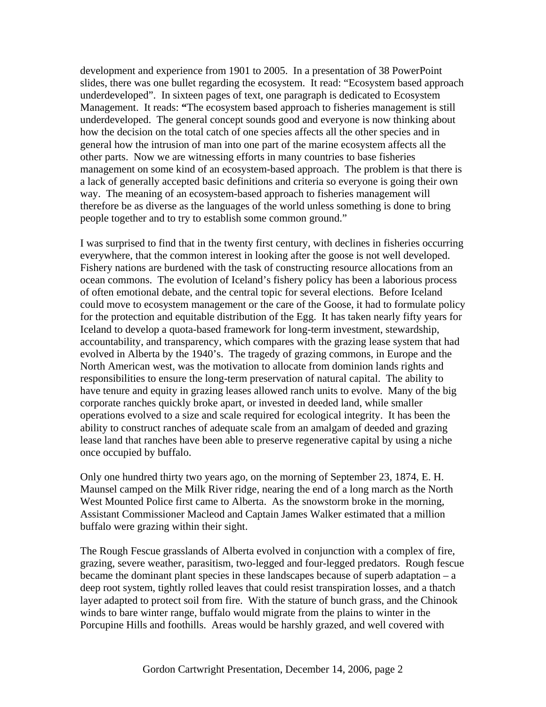development and experience from 1901 to 2005. In a presentation of 38 PowerPoint slides, there was one bullet regarding the ecosystem. It read: "Ecosystem based approach underdeveloped". In sixteen pages of text, one paragraph is dedicated to Ecosystem Management. It reads: **"**The ecosystem based approach to fisheries management is still underdeveloped. The general concept sounds good and everyone is now thinking about how the decision on the total catch of one species affects all the other species and in general how the intrusion of man into one part of the marine ecosystem affects all the other parts. Now we are witnessing efforts in many countries to base fisheries management on some kind of an ecosystem-based approach. The problem is that there is a lack of generally accepted basic definitions and criteria so everyone is going their own way. The meaning of an ecosystem-based approach to fisheries management will therefore be as diverse as the languages of the world unless something is done to bring people together and to try to establish some common ground."

I was surprised to find that in the twenty first century, with declines in fisheries occurring everywhere, that the common interest in looking after the goose is not well developed. Fishery nations are burdened with the task of constructing resource allocations from an ocean commons. The evolution of Iceland's fishery policy has been a laborious process of often emotional debate, and the central topic for several elections. Before Iceland could move to ecosystem management or the care of the Goose, it had to formulate policy for the protection and equitable distribution of the Egg. It has taken nearly fifty years for Iceland to develop a quota-based framework for long-term investment, stewardship, accountability, and transparency, which compares with the grazing lease system that had evolved in Alberta by the 1940's. The tragedy of grazing commons, in Europe and the North American west, was the motivation to allocate from dominion lands rights and responsibilities to ensure the long-term preservation of natural capital. The ability to have tenure and equity in grazing leases allowed ranch units to evolve. Many of the big corporate ranches quickly broke apart, or invested in deeded land, while smaller operations evolved to a size and scale required for ecological integrity. It has been the ability to construct ranches of adequate scale from an amalgam of deeded and grazing lease land that ranches have been able to preserve regenerative capital by using a niche once occupied by buffalo.

Only one hundred thirty two years ago, on the morning of September 23, 1874, E. H. Maunsel camped on the Milk River ridge, nearing the end of a long march as the North West Mounted Police first came to Alberta. As the snowstorm broke in the morning, Assistant Commissioner Macleod and Captain James Walker estimated that a million buffalo were grazing within their sight.

The Rough Fescue grasslands of Alberta evolved in conjunction with a complex of fire, grazing, severe weather, parasitism, two-legged and four-legged predators. Rough fescue became the dominant plant species in these landscapes because of superb adaptation – a deep root system, tightly rolled leaves that could resist transpiration losses, and a thatch layer adapted to protect soil from fire. With the stature of bunch grass, and the Chinook winds to bare winter range, buffalo would migrate from the plains to winter in the Porcupine Hills and foothills. Areas would be harshly grazed, and well covered with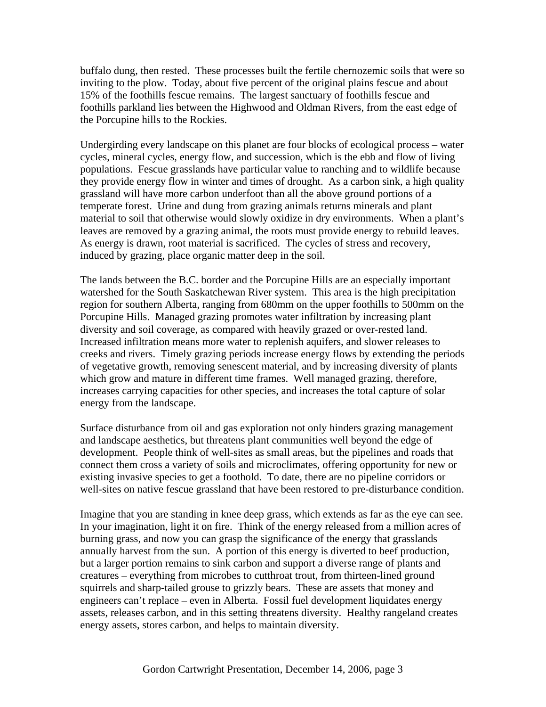buffalo dung, then rested. These processes built the fertile chernozemic soils that were so inviting to the plow. Today, about five percent of the original plains fescue and about 15% of the foothills fescue remains. The largest sanctuary of foothills fescue and foothills parkland lies between the Highwood and Oldman Rivers, from the east edge of the Porcupine hills to the Rockies.

Undergirding every landscape on this planet are four blocks of ecological process – water cycles, mineral cycles, energy flow, and succession, which is the ebb and flow of living populations. Fescue grasslands have particular value to ranching and to wildlife because they provide energy flow in winter and times of drought. As a carbon sink, a high quality grassland will have more carbon underfoot than all the above ground portions of a temperate forest. Urine and dung from grazing animals returns minerals and plant material to soil that otherwise would slowly oxidize in dry environments. When a plant's leaves are removed by a grazing animal, the roots must provide energy to rebuild leaves. As energy is drawn, root material is sacrificed. The cycles of stress and recovery, induced by grazing, place organic matter deep in the soil.

The lands between the B.C. border and the Porcupine Hills are an especially important watershed for the South Saskatchewan River system. This area is the high precipitation region for southern Alberta, ranging from 680mm on the upper foothills to 500mm on the Porcupine Hills. Managed grazing promotes water infiltration by increasing plant diversity and soil coverage, as compared with heavily grazed or over-rested land. Increased infiltration means more water to replenish aquifers, and slower releases to creeks and rivers. Timely grazing periods increase energy flows by extending the periods of vegetative growth, removing senescent material, and by increasing diversity of plants which grow and mature in different time frames. Well managed grazing, therefore, increases carrying capacities for other species, and increases the total capture of solar energy from the landscape.

Surface disturbance from oil and gas exploration not only hinders grazing management and landscape aesthetics, but threatens plant communities well beyond the edge of development. People think of well-sites as small areas, but the pipelines and roads that connect them cross a variety of soils and microclimates, offering opportunity for new or existing invasive species to get a foothold. To date, there are no pipeline corridors or well-sites on native fescue grassland that have been restored to pre-disturbance condition.

Imagine that you are standing in knee deep grass, which extends as far as the eye can see. In your imagination, light it on fire. Think of the energy released from a million acres of burning grass, and now you can grasp the significance of the energy that grasslands annually harvest from the sun. A portion of this energy is diverted to beef production, but a larger portion remains to sink carbon and support a diverse range of plants and creatures – everything from microbes to cutthroat trout, from thirteen-lined ground squirrels and sharp-tailed grouse to grizzly bears. These are assets that money and engineers can't replace – even in Alberta. Fossil fuel development liquidates energy assets, releases carbon, and in this setting threatens diversity. Healthy rangeland creates energy assets, stores carbon, and helps to maintain diversity.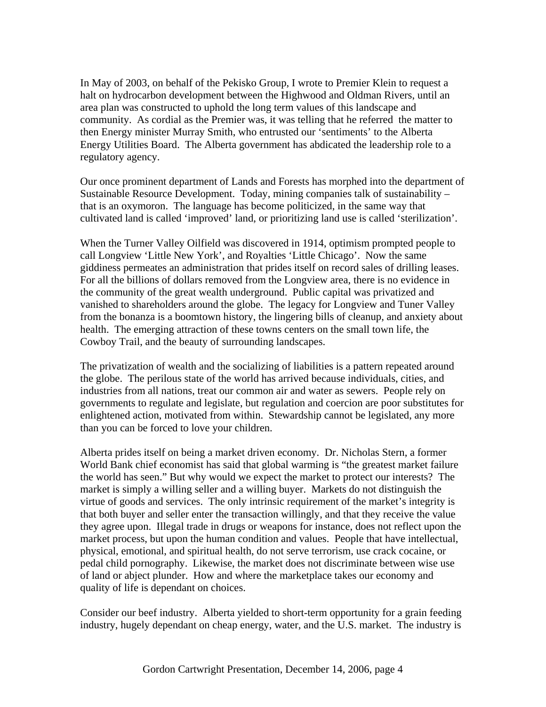In May of 2003, on behalf of the Pekisko Group, I wrote to Premier Klein to request a halt on hydrocarbon development between the Highwood and Oldman Rivers, until an area plan was constructed to uphold the long term values of this landscape and community. As cordial as the Premier was, it was telling that he referred the matter to then Energy minister Murray Smith, who entrusted our 'sentiments' to the Alberta Energy Utilities Board. The Alberta government has abdicated the leadership role to a regulatory agency.

Our once prominent department of Lands and Forests has morphed into the department of Sustainable Resource Development. Today, mining companies talk of sustainability – that is an oxymoron. The language has become politicized, in the same way that cultivated land is called 'improved' land, or prioritizing land use is called 'sterilization'.

When the Turner Valley Oilfield was discovered in 1914, optimism prompted people to call Longview 'Little New York', and Royalties 'Little Chicago'. Now the same giddiness permeates an administration that prides itself on record sales of drilling leases. For all the billions of dollars removed from the Longview area, there is no evidence in the community of the great wealth underground. Public capital was privatized and vanished to shareholders around the globe. The legacy for Longview and Tuner Valley from the bonanza is a boomtown history, the lingering bills of cleanup, and anxiety about health. The emerging attraction of these towns centers on the small town life, the Cowboy Trail, and the beauty of surrounding landscapes.

The privatization of wealth and the socializing of liabilities is a pattern repeated around the globe. The perilous state of the world has arrived because individuals, cities, and industries from all nations, treat our common air and water as sewers. People rely on governments to regulate and legislate, but regulation and coercion are poor substitutes for enlightened action, motivated from within. Stewardship cannot be legislated, any more than you can be forced to love your children.

Alberta prides itself on being a market driven economy. Dr. Nicholas Stern, a former World Bank chief economist has said that global warming is "the greatest market failure the world has seen." But why would we expect the market to protect our interests? The market is simply a willing seller and a willing buyer. Markets do not distinguish the virtue of goods and services. The only intrinsic requirement of the market's integrity is that both buyer and seller enter the transaction willingly, and that they receive the value they agree upon. Illegal trade in drugs or weapons for instance, does not reflect upon the market process, but upon the human condition and values. People that have intellectual, physical, emotional, and spiritual health, do not serve terrorism, use crack cocaine, or pedal child pornography. Likewise, the market does not discriminate between wise use of land or abject plunder. How and where the marketplace takes our economy and quality of life is dependant on choices.

Consider our beef industry. Alberta yielded to short-term opportunity for a grain feeding industry, hugely dependant on cheap energy, water, and the U.S. market. The industry is